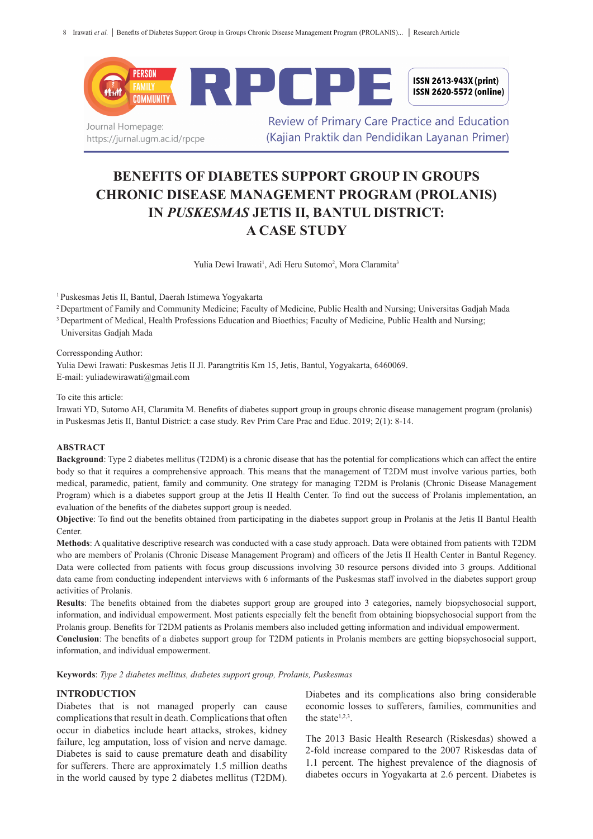

Journal Homepage: https://jurnal.ugm.ac.id/rpcpe

**Review of Primary Care Practice and Education** (Kaijan Praktik dan Pendidikan Lavanan Primer)

# **BENEFITS OF DIABETES SUPPORT GROUP IN GROUPS CHRONIC DISEASE MANAGEMENT PROGRAM (PROLANIS) IN** *PUSKESMAS* **JETIS II, BANTUL DISTRICT: A CASE STUDY**

Yulia Dewi Irawati<sup>1</sup>, Adi Heru Sutomo<sup>2</sup>, Mora Claramita<sup>3</sup>

<sup>1</sup>Puskesmas Jetis II, Bantul, Daerah Istimewa Yogyakarta

<sup>2</sup>Department of Family and Community Medicine; Faculty of Medicine, Public Health and Nursing; Universitas Gadjah Mada

<sup>3</sup> Department of Medical, Health Professions Education and Bioethics; Faculty of Medicine, Public Health and Nursing;

Universitas Gadjah Mada

Corressponding Author:

Yulia Dewi Irawati: Puskesmas Jetis II Jl. Parangtritis Km 15, Jetis, Bantul, Yogyakarta, 6460069. E-mail: yuliadewirawati@gmail.com

To cite this article:

Irawati YD, Sutomo AH, Claramita M. Benefits of diabetes support group in groups chronic disease management program (prolanis) in Puskesmas Jetis II, Bantul District: a case study. Rev Prim Care Prac and Educ. 2019; 2(1): 8-14.

#### **ABSTRACT**

**Background**: Type 2 diabetes mellitus (T2DM) is a chronic disease that has the potential for complications which can affect the entire body so that it requires a comprehensive approach. This means that the management of T2DM must involve various parties, both medical, paramedic, patient, family and community. One strategy for managing T2DM is Prolanis (Chronic Disease Management Program) which is a diabetes support group at the Jetis II Health Center. To find out the success of Prolanis implementation, an evaluation of the benefits of the diabetes support group is needed.

**Objective**: To find out the benefits obtained from participating in the diabetes support group in Prolanis at the Jetis II Bantul Health Center.

**Methods**: A qualitative descriptive research was conducted with a case study approach. Data were obtained from patients with T2DM who are members of Prolanis (Chronic Disease Management Program) and officers of the Jetis II Health Center in Bantul Regency. Data were collected from patients with focus group discussions involving 30 resource persons divided into 3 groups. Additional data came from conducting independent interviews with 6 informants of the Puskesmas staff involved in the diabetes support group activities of Prolanis.

**Results**: The benefits obtained from the diabetes support group are grouped into 3 categories, namely biopsychosocial support, information, and individual empowerment. Most patients especially felt the benefit from obtaining biopsychosocial support from the Prolanis group. Benefits for T2DM patients as Prolanis members also included getting information and individual empowerment.

**Conclusion**: The benefits of a diabetes support group for T2DM patients in Prolanis members are getting biopsychosocial support, information, and individual empowerment.

**Keywords**: *Type 2 diabetes mellitus, diabetes support group, Prolanis, Puskesmas*

# **INTRODUCTION**

Diabetes that is not managed properly can cause complications that result in death. Complications that often occur in diabetics include heart attacks, strokes, kidney failure, leg amputation, loss of vision and nerve damage. Diabetes is said to cause premature death and disability for sufferers. There are approximately 1.5 million deaths in the world caused by type 2 diabetes mellitus (T2DM).

Diabetes and its complications also bring considerable economic losses to sufferers, families, communities and the state $1,2,3$ .

The 2013 Basic Health Research (Riskesdas) showed a 2-fold increase compared to the 2007 Riskesdas data of 1.1 percent. The highest prevalence of the diagnosis of diabetes occurs in Yogyakarta at 2.6 percent. Diabetes is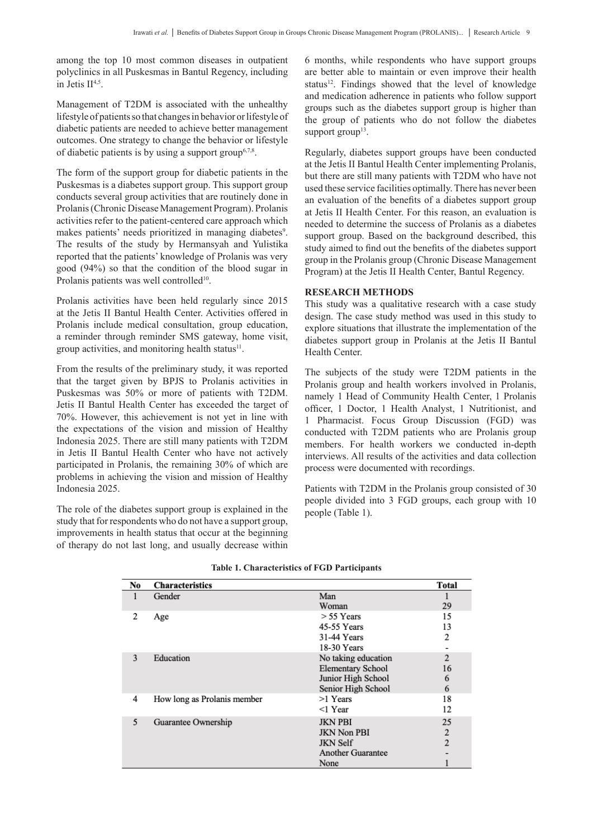among the top 10 most common diseases in outpatient polyclinics in all Puskesmas in Bantul Regency, including in Jetis  $II<sup>4,5</sup>$ .

Management of T2DM is associated with the unhealthy lifestyle of patients so that changes in behavior or lifestyle of diabetic patients are needed to achieve better management outcomes. One strategy to change the behavior or lifestyle of diabetic patients is by using a support group<sup>6,7,8</sup>.

The form of the support group for diabetic patients in the Puskesmas is a diabetes support group. This support group conducts several group activities that are routinely done in Prolanis (Chronic Disease Management Program). Prolanis activities refer to the patient-centered care approach which makes patients' needs prioritized in managing diabetes<sup>9</sup>. The results of the study by Hermansyah and Yulistika reported that the patients' knowledge of Prolanis was very good (94%) so that the condition of the blood sugar in Prolanis patients was well controlled<sup>10</sup>.

Prolanis activities have been held regularly since 2015 at the Jetis II Bantul Health Center. Activities offered in Prolanis include medical consultation, group education, a reminder through reminder SMS gateway, home visit, group activities, and monitoring health status $11$ .

From the results of the preliminary study, it was reported that the target given by BPJS to Prolanis activities in Puskesmas was 50% or more of patients with T2DM. Jetis II Bantul Health Center has exceeded the target of 70%. However, this achievement is not yet in line with the expectations of the vision and mission of Healthy Indonesia 2025. There are still many patients with T2DM in Jetis II Bantul Health Center who have not actively participated in Prolanis, the remaining 30% of which are problems in achieving the vision and mission of Healthy Indonesia 2025.

The role of the diabetes support group is explained in the study that for respondents who do not have a support group, improvements in health status that occur at the beginning of therapy do not last long, and usually decrease within 6 months, while respondents who have support groups are better able to maintain or even improve their health status<sup>12</sup>. Findings showed that the level of knowledge and medication adherence in patients who follow support groups such as the diabetes support group is higher than the group of patients who do not follow the diabetes support  $group<sup>13</sup>$ .

Regularly, diabetes support groups have been conducted at the Jetis II Bantul Health Center implementing Prolanis, but there are still many patients with T2DM who have not used these service facilities optimally. There has never been an evaluation of the benefits of a diabetes support group at Jetis II Health Center. For this reason, an evaluation is needed to determine the success of Prolanis as a diabetes support group. Based on the background described, this study aimed to find out the benefits of the diabetes support group in the Prolanis group (Chronic Disease Management Program) at the Jetis II Health Center, Bantul Regency.

# **RESEARCH METHODS**

This study was a qualitative research with a case study design. The case study method was used in this study to explore situations that illustrate the implementation of the diabetes support group in Prolanis at the Jetis II Bantul Health Center.

The subjects of the study were T2DM patients in the Prolanis group and health workers involved in Prolanis, namely 1 Head of Community Health Center, 1 Prolanis officer, 1 Doctor, 1 Health Analyst, 1 Nutritionist, and 1 Pharmacist. Focus Group Discussion (FGD) was conducted with T2DM patients who are Prolanis group members. For health workers we conducted in-depth interviews. All results of the activities and data collection process were documented with recordings.

Patients with T2DM in the Prolanis group consisted of 30 people divided into 3 FGD groups, each group with 10 people (Table 1).

| No | <b>Characteristics</b>      |                          | <b>Total</b>   |
|----|-----------------------------|--------------------------|----------------|
|    | Gender                      | Man                      |                |
|    |                             | Woman                    | 29             |
| 2  | Age                         | $> 55$ Years             | 15             |
|    |                             | 45-55 Years              | 13             |
|    |                             | 31-44 Years              | 2              |
|    |                             | 18-30 Years              |                |
| 3  | Education                   | No taking education      | $\mathbf{2}$   |
|    |                             | <b>Elementary School</b> | 16             |
|    |                             | Junior High School       | 6              |
|    |                             | Senior High School       | 6              |
| 4  | How long as Prolanis member | >1 Years                 | 18             |
|    |                             | $<$ 1 Year               | 12             |
| 5  | Guarantee Ownership         | <b>JKN PBI</b>           | 25             |
|    |                             | <b>JKN Non PBI</b>       | $\overline{2}$ |
|    |                             | <b>JKN</b> Self          | $\overline{2}$ |
|    |                             | <b>Another Guarantee</b> |                |
|    |                             | None                     |                |

## **Table 1. Characteristics of FGD Participants**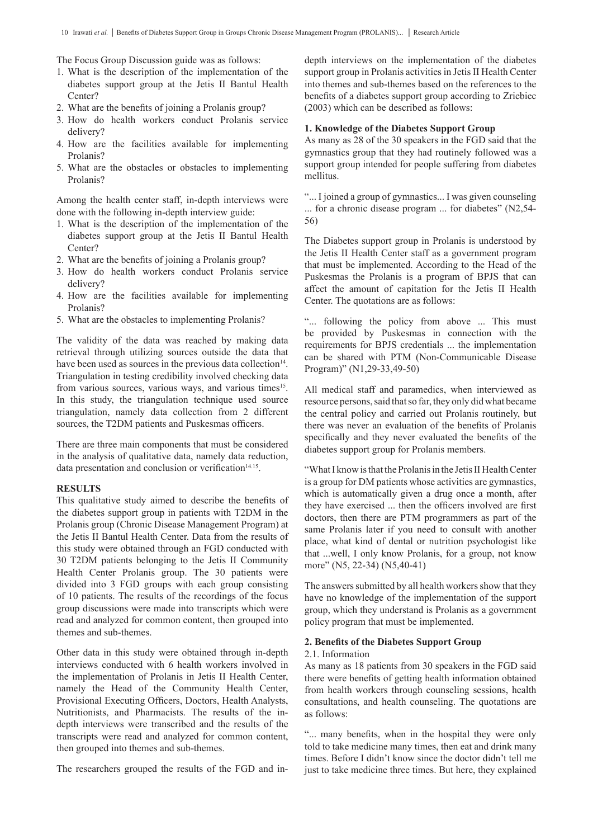The Focus Group Discussion guide was as follows:

- 1. What is the description of the implementation of the diabetes support group at the Jetis II Bantul Health Center?
- 2. What are the benefits of joining a Prolanis group?
- 3. How do health workers conduct Prolanis service delivery?
- 4. How are the facilities available for implementing Prolanis?
- 5. What are the obstacles or obstacles to implementing Prolanis?

Among the health center staff, in-depth interviews were done with the following in-depth interview guide:

- 1. What is the description of the implementation of the diabetes support group at the Jetis II Bantul Health Center?
- 2. What are the benefits of joining a Prolanis group?
- 3. How do health workers conduct Prolanis service delivery?
- 4. How are the facilities available for implementing Prolanis?
- 5. What are the obstacles to implementing Prolanis?

The validity of the data was reached by making data retrieval through utilizing sources outside the data that have been used as sources in the previous data collection<sup>14</sup>. Triangulation in testing credibility involved checking data from various sources, various ways, and various times<sup>15</sup>. In this study, the triangulation technique used source triangulation, namely data collection from 2 different sources, the T2DM patients and Puskesmas officers.

There are three main components that must be considered in the analysis of qualitative data, namely data reduction, data presentation and conclusion or verification $14.15$ .

#### **RESULTS**

This qualitative study aimed to describe the benefits of the diabetes support group in patients with T2DM in the Prolanis group (Chronic Disease Management Program) at the Jetis II Bantul Health Center. Data from the results of this study were obtained through an FGD conducted with 30 T2DM patients belonging to the Jetis II Community Health Center Prolanis group. The 30 patients were divided into 3 FGD groups with each group consisting of 10 patients. The results of the recordings of the focus group discussions were made into transcripts which were read and analyzed for common content, then grouped into themes and sub-themes.

Other data in this study were obtained through in-depth interviews conducted with 6 health workers involved in the implementation of Prolanis in Jetis II Health Center, namely the Head of the Community Health Center, Provisional Executing Officers, Doctors, Health Analysts, Nutritionists, and Pharmacists. The results of the indepth interviews were transcribed and the results of the transcripts were read and analyzed for common content, then grouped into themes and sub-themes.

The researchers grouped the results of the FGD and in-

depth interviews on the implementation of the diabetes support group in Prolanis activities in Jetis II Health Center into themes and sub-themes based on the references to the benefits of a diabetes support group according to Zriebiec (2003) which can be described as follows:

## **1. Knowledge of the Diabetes Support Group**

As many as 28 of the 30 speakers in the FGD said that the gymnastics group that they had routinely followed was a support group intended for people suffering from diabetes mellitus.

"... I joined a group of gymnastics... I was given counseling ... for a chronic disease program ... for diabetes" (N2,54- 56)

The Diabetes support group in Prolanis is understood by the Jetis II Health Center staff as a government program that must be implemented. According to the Head of the Puskesmas the Prolanis is a program of BPJS that can affect the amount of capitation for the Jetis II Health Center. The quotations are as follows:

"... following the policy from above ... This must be provided by Puskesmas in connection with the requirements for BPJS credentials ... the implementation can be shared with PTM (Non-Communicable Disease Program)" (N1,29-33,49-50)

All medical staff and paramedics, when interviewed as resource persons, said that so far, they only did what became the central policy and carried out Prolanis routinely, but there was never an evaluation of the benefits of Prolanis specifically and they never evaluated the benefits of the diabetes support group for Prolanis members.

"What I know is that the Prolanis in the Jetis II Health Center is a group for DM patients whose activities are gymnastics, which is automatically given a drug once a month, after they have exercised ... then the officers involved are first doctors, then there are PTM programmers as part of the same Prolanis later if you need to consult with another place, what kind of dental or nutrition psychologist like that ...well, I only know Prolanis, for a group, not know more" (N5, 22-34) (N5,40-41)

The answers submitted by all health workers show that they have no knowledge of the implementation of the support group, which they understand is Prolanis as a government policy program that must be implemented.

# **2. Benefits of the Diabetes Support Group**

#### 2.1. Information

As many as 18 patients from 30 speakers in the FGD said there were benefits of getting health information obtained from health workers through counseling sessions, health consultations, and health counseling. The quotations are as follows:

"... many benefits, when in the hospital they were only told to take medicine many times, then eat and drink many times. Before I didn't know since the doctor didn't tell me just to take medicine three times. But here, they explained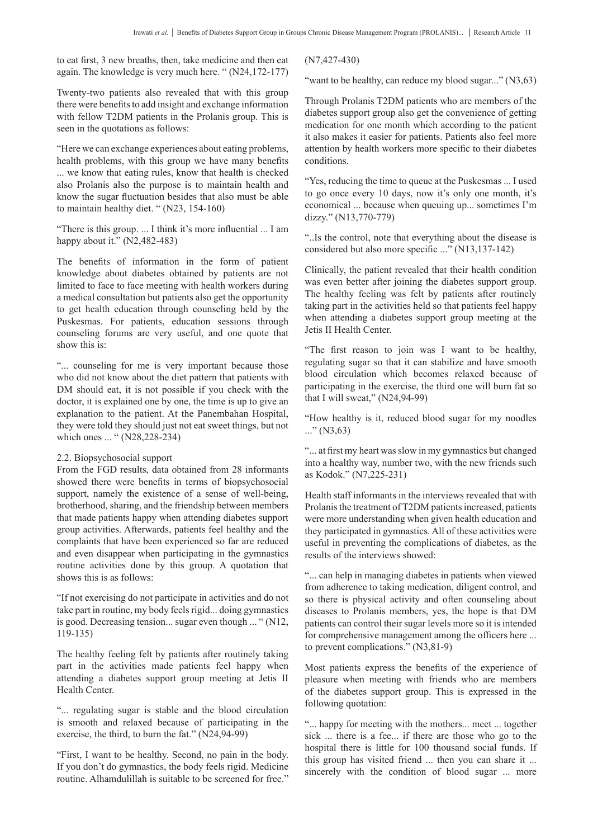to eat first, 3 new breaths, then, take medicine and then eat again. The knowledge is very much here. " (N24,172-177)

Twenty-two patients also revealed that with this group there were benefits to add insight and exchange information with fellow T2DM patients in the Prolanis group. This is seen in the quotations as follows:

"Here we can exchange experiences about eating problems, health problems, with this group we have many benefits ... we know that eating rules, know that health is checked also Prolanis also the purpose is to maintain health and know the sugar fluctuation besides that also must be able to maintain healthy diet. " (N23, 154-160)

"There is this group. ... I think it's more influential ... I am happy about it." (N2,482-483)

The benefits of information in the form of patient knowledge about diabetes obtained by patients are not limited to face to face meeting with health workers during a medical consultation but patients also get the opportunity to get health education through counseling held by the Puskesmas. For patients, education sessions through counseling forums are very useful, and one quote that show this is:

"... counseling for me is very important because those who did not know about the diet pattern that patients with DM should eat, it is not possible if you check with the doctor, it is explained one by one, the time is up to give an explanation to the patient. At the Panembahan Hospital, they were told they should just not eat sweet things, but not which ones ... " (N28,228-234)

## 2.2. Biopsychosocial support

From the FGD results, data obtained from 28 informants showed there were benefits in terms of biopsychosocial support, namely the existence of a sense of well-being, brotherhood, sharing, and the friendship between members that made patients happy when attending diabetes support group activities. Afterwards, patients feel healthy and the complaints that have been experienced so far are reduced and even disappear when participating in the gymnastics routine activities done by this group. A quotation that shows this is as follows:

"If not exercising do not participate in activities and do not take part in routine, my body feels rigid... doing gymnastics is good. Decreasing tension... sugar even though ... " (N12, 119-135)

The healthy feeling felt by patients after routinely taking part in the activities made patients feel happy when attending a diabetes support group meeting at Jetis II Health Center.

"... regulating sugar is stable and the blood circulation is smooth and relaxed because of participating in the exercise, the third, to burn the fat." (N24,94-99)

"First, I want to be healthy. Second, no pain in the body. If you don't do gymnastics, the body feels rigid. Medicine routine. Alhamdulillah is suitable to be screened for free."

(N7,427-430)

"want to be healthy, can reduce my blood sugar..." (N3,63)

Through Prolanis T2DM patients who are members of the diabetes support group also get the convenience of getting medication for one month which according to the patient it also makes it easier for patients. Patients also feel more attention by health workers more specific to their diabetes conditions.

"Yes, reducing the time to queue at the Puskesmas ... I used to go once every 10 days, now it's only one month, it's economical ... because when queuing up... sometimes I'm dizzy." (N13,770-779)

"..Is the control, note that everything about the disease is considered but also more specific ..." (N13,137-142)

Clinically, the patient revealed that their health condition was even better after joining the diabetes support group. The healthy feeling was felt by patients after routinely taking part in the activities held so that patients feel happy when attending a diabetes support group meeting at the Jetis II Health Center.

"The first reason to join was I want to be healthy, regulating sugar so that it can stabilize and have smooth blood circulation which becomes relaxed because of participating in the exercise, the third one will burn fat so that I will sweat," (N24,94-99)

"How healthy is it, reduced blood sugar for my noodles  $\ldots$ " (N3,63)

"... at first my heart was slow in my gymnastics but changed into a healthy way, number two, with the new friends such as Kodok." (N7,225-231)

Health staff informants in the interviews revealed that with Prolanis the treatment of T2DM patients increased, patients were more understanding when given health education and they participated in gymnastics. All of these activities were useful in preventing the complications of diabetes, as the results of the interviews showed:

"... can help in managing diabetes in patients when viewed from adherence to taking medication, diligent control, and so there is physical activity and often counseling about diseases to Prolanis members, yes, the hope is that DM patients can control their sugar levels more so it is intended for comprehensive management among the officers here ... to prevent complications." (N3,81-9)

Most patients express the benefits of the experience of pleasure when meeting with friends who are members of the diabetes support group. This is expressed in the following quotation:

"... happy for meeting with the mothers... meet ... together sick ... there is a fee... if there are those who go to the hospital there is little for 100 thousand social funds. If this group has visited friend ... then you can share it ... sincerely with the condition of blood sugar ... more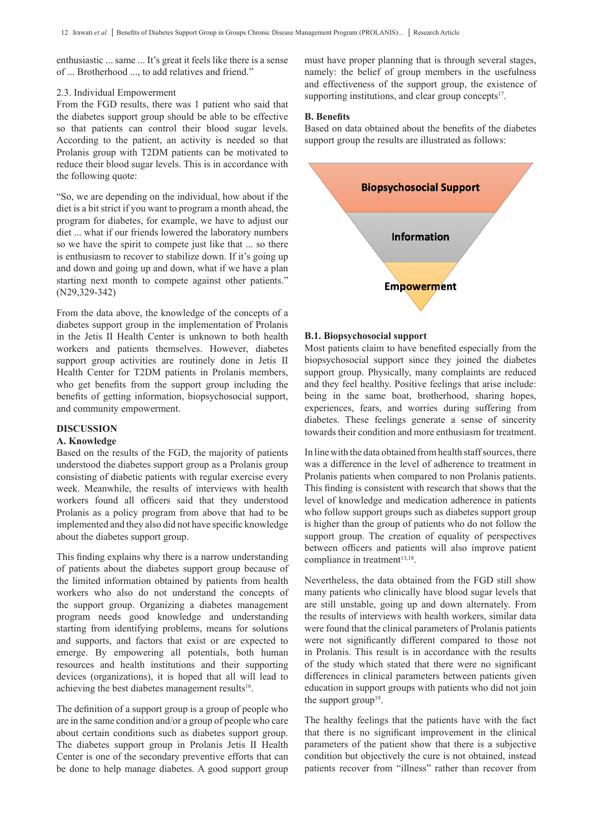enthusiastic ... same ... It's great it feels like there is a sense of ... Brotherhood ..., to add relatives and friend."

## 2.3. Individual Empowerment

From the FGD results, there was 1 patient who said that the diabetes support group should be able to be effective so that patients can control their blood sugar levels. According to the patient, an activity is needed so that Prolanis group with T2DM patients can be motivated to reduce their blood sugar levels. This is in accordance with the following quote:

"So, we are depending on the individual, how about if the diet is a bit strict if you want to program a month ahead, the program for diabetes, for example, we have to adjust our diet ... what if our friends lowered the laboratory numbers so we have the spirit to compete just like that ... so there is enthusiasm to recover to stabilize down. If it's going up and down and going up and down, what if we have a plan starting next month to compete against other patients." (N29,329-342)

From the data above, the knowledge of the concepts of a diabetes support group in the implementation of Prolanis in the Jetis II Health Center is unknown to both health workers and patients themselves. However, diabetes support group activities are routinely done in Jetis II Health Center for T2DM patients in Prolanis members, who get benefits from the support group including the benefits of getting information, biopsychosocial support, and community empowerment.

# **DISCUSSION**

#### **A. Knowledge**

Based on the results of the FGD, the majority of patients understood the diabetes support group as a Prolanis group consisting of diabetic patients with regular exercise every week. Meanwhile, the results of interviews with health workers found all officers said that they understood Prolanis as a policy program from above that had to be implemented and they also did not have specific knowledge about the diabetes support group.

This finding explains why there is a narrow understanding of patients about the diabetes support group because of the limited information obtained by patients from health workers who also do not understand the concepts of the support group. Organizing a diabetes management program needs good knowledge and understanding starting from identifying problems, means for solutions and supports, and factors that exist or are expected to emerge. By empowering all potentials, both human resources and health institutions and their supporting devices (organizations), it is hoped that all will lead to achieving the best diabetes management results<sup>16</sup>.

The definition of a support group is a group of people who are in the same condition and/or a group of people who care about certain conditions such as diabetes support group. The diabetes support group in Prolanis Jetis II Health Center is one of the secondary preventive efforts that can be done to help manage diabetes. A good support group must have proper planning that is through several stages, namely: the belief of group members in the usefulness and effectiveness of the support group, the existence of supporting institutions, and clear group concepts $17$ .

#### **B. Benefits**

Based on data obtained about the benefits of the diabetes support group the results are illustrated as follows:



## **B.1. Biopsychosocial support**

Most patients claim to have benefited especially from the biopsychosocial support since they joined the diabetes support group. Physically, many complaints are reduced and they feel healthy. Positive feelings that arise include: being in the same boat, brotherhood, sharing hopes, experiences, fears, and worries during suffering from diabetes. These feelings generate a sense of sincerity towards their condition and more enthusiasm for treatment.

In line with the data obtained from health staff sources, there was a difference in the level of adherence to treatment in Prolanis patients when compared to non Prolanis patients. This finding is consistent with research that shows that the level of knowledge and medication adherence in patients who follow support groups such as diabetes support group is higher than the group of patients who do not follow the support group. The creation of equality of perspectives between officers and patients will also improve patient compliance in treatment<sup>13,18</sup>.

Nevertheless, the data obtained from the FGD still show many patients who clinically have blood sugar levels that are still unstable, going up and down alternately. From the results of interviews with health workers, similar data were found that the clinical parameters of Prolanis patients were not significantly different compared to those not in Prolanis. This result is in accordance with the results of the study which stated that there were no significant differences in clinical parameters between patients given education in support groups with patients who did not join the support group<sup>19</sup>.

The healthy feelings that the patients have with the fact that there is no significant improvement in the clinical parameters of the patient show that there is a subjective condition but objectively the cure is not obtained, instead patients recover from "illness" rather than recover from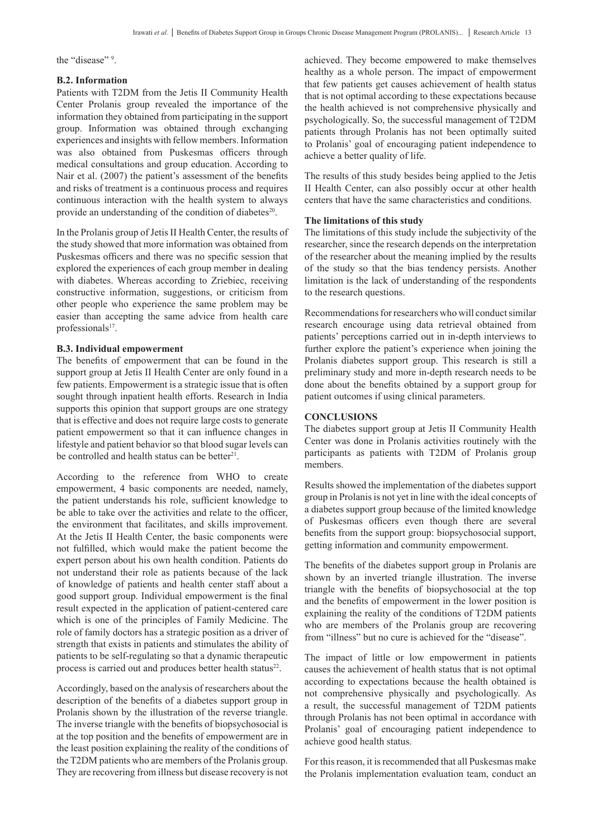the "disease" 9.

## **B.2. Information**

Patients with T2DM from the Jetis II Community Health Center Prolanis group revealed the importance of the information they obtained from participating in the support group. Information was obtained through exchanging experiences and insights with fellow members. Information was also obtained from Puskesmas officers through medical consultations and group education. According to Nair et al. (2007) the patient's assessment of the benefits and risks of treatment is a continuous process and requires continuous interaction with the health system to always provide an understanding of the condition of diabetes<sup>20</sup>.

In the Prolanis group of Jetis II Health Center, the results of the study showed that more information was obtained from Puskesmas officers and there was no specific session that explored the experiences of each group member in dealing with diabetes. Whereas according to Zriebiec, receiving constructive information, suggestions, or criticism from other people who experience the same problem may be easier than accepting the same advice from health care professionals<sup>17</sup>.

## **B.3. Individual empowerment**

The benefits of empowerment that can be found in the support group at Jetis II Health Center are only found in a few patients. Empowerment is a strategic issue that is often sought through inpatient health efforts. Research in India supports this opinion that support groups are one strategy that is effective and does not require large costs to generate patient empowerment so that it can influence changes in lifestyle and patient behavior so that blood sugar levels can be controlled and health status can be better<sup>21</sup>.

According to the reference from WHO to create empowerment, 4 basic components are needed, namely, the patient understands his role, sufficient knowledge to be able to take over the activities and relate to the officer, the environment that facilitates, and skills improvement. At the Jetis II Health Center, the basic components were not fulfilled, which would make the patient become the expert person about his own health condition. Patients do not understand their role as patients because of the lack of knowledge of patients and health center staff about a good support group. Individual empowerment is the final result expected in the application of patient-centered care which is one of the principles of Family Medicine. The role of family doctors has a strategic position as a driver of strength that exists in patients and stimulates the ability of patients to be self-regulating so that a dynamic therapeutic process is carried out and produces better health status<sup>22</sup>.

Accordingly, based on the analysis of researchers about the description of the benefits of a diabetes support group in Prolanis shown by the illustration of the reverse triangle. The inverse triangle with the benefits of biopsychosocial is at the top position and the benefits of empowerment are in the least position explaining the reality of the conditions of the T2DM patients who are members of the Prolanis group. They are recovering from illness but disease recovery is not

achieved. They become empowered to make themselves healthy as a whole person. The impact of empowerment that few patients get causes achievement of health status that is not optimal according to these expectations because the health achieved is not comprehensive physically and psychologically. So, the successful management of T2DM patients through Prolanis has not been optimally suited to Prolanis' goal of encouraging patient independence to achieve a better quality of life.

The results of this study besides being applied to the Jetis II Health Center, can also possibly occur at other health centers that have the same characteristics and conditions.

#### **The limitations of this study**

The limitations of this study include the subjectivity of the researcher, since the research depends on the interpretation of the researcher about the meaning implied by the results of the study so that the bias tendency persists. Another limitation is the lack of understanding of the respondents to the research questions.

Recommendations for researchers who will conduct similar research encourage using data retrieval obtained from patients' perceptions carried out in in-depth interviews to further explore the patient's experience when joining the Prolanis diabetes support group. This research is still a preliminary study and more in-depth research needs to be done about the benefits obtained by a support group for patient outcomes if using clinical parameters.

## **CONCLUSIONS**

The diabetes support group at Jetis II Community Health Center was done in Prolanis activities routinely with the participants as patients with T2DM of Prolanis group members.

Results showed the implementation of the diabetes support group in Prolanis is not yet in line with the ideal concepts of a diabetes support group because of the limited knowledge of Puskesmas officers even though there are several benefits from the support group: biopsychosocial support, getting information and community empowerment.

The benefits of the diabetes support group in Prolanis are shown by an inverted triangle illustration. The inverse triangle with the benefits of biopsychosocial at the top and the benefits of empowerment in the lower position is explaining the reality of the conditions of T2DM patients who are members of the Prolanis group are recovering from "illness" but no cure is achieved for the "disease".

The impact of little or low empowerment in patients causes the achievement of health status that is not optimal according to expectations because the health obtained is not comprehensive physically and psychologically. As a result, the successful management of T2DM patients through Prolanis has not been optimal in accordance with Prolanis' goal of encouraging patient independence to achieve good health status.

For this reason, it is recommended that all Puskesmas make the Prolanis implementation evaluation team, conduct an